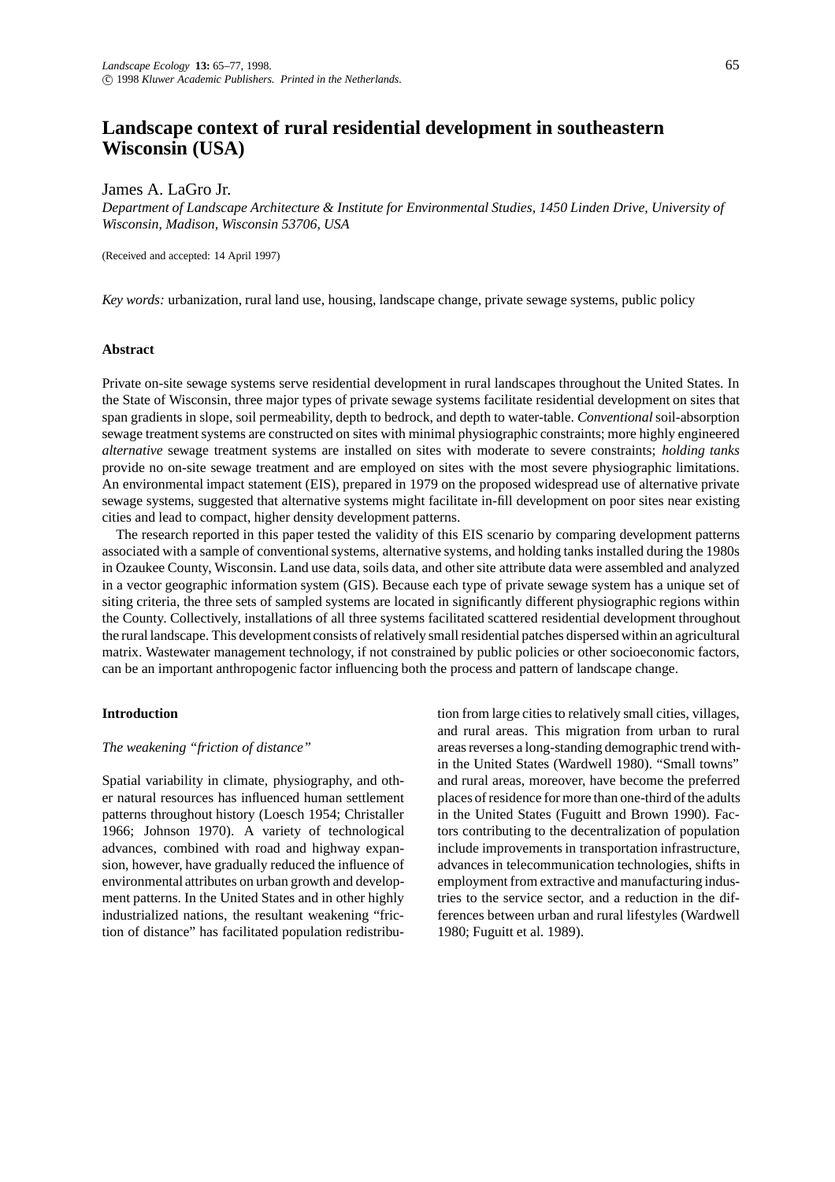# **Landscape context of rural residential development in southeastern Wisconsin (USA)**

James A. LaGro Jr.

*Department of Landscape Architecture & Institute for Environmental Studies, 1450 Linden Drive, University of Wisconsin, Madison, Wisconsin 53706, USA*

(Received and accepted: 14 April 1997)

*Key words:* urbanization, rural land use, housing, landscape change, private sewage systems, public policy

### **Abstract**

Private on-site sewage systems serve residential development in rural landscapes throughout the United States. In the State of Wisconsin, three major types of private sewage systems facilitate residential development on sites that span gradients in slope, soil permeability, depth to bedrock, and depth to water-table. *Conventional*soil-absorption sewage treatment systems are constructed on sites with minimal physiographic constraints; more highly engineered *alternative* sewage treatment systems are installed on sites with moderate to severe constraints; *holding tanks* provide no on-site sewage treatment and are employed on sites with the most severe physiographic limitations. An environmental impact statement (EIS), prepared in 1979 on the proposed widespread use of alternative private sewage systems, suggested that alternative systems might facilitate in-fill development on poor sites near existing cities and lead to compact, higher density development patterns.

The research reported in this paper tested the validity of this EIS scenario by comparing development patterns associated with a sample of conventional systems, alternative systems, and holding tanks installed during the 1980s in Ozaukee County, Wisconsin. Land use data, soils data, and other site attribute data were assembled and analyzed in a vector geographic information system (GIS). Because each type of private sewage system has a unique set of siting criteria, the three sets of sampled systems are located in significantly different physiographic regions within the County. Collectively, installations of all three systems facilitated scattered residential development throughout the rural landscape. This development consists of relatively small residential patches dispersed within an agricultural matrix. Wastewater management technology, if not constrained by public policies or other socioeconomic factors, can be an important anthropogenic factor influencing both the process and pattern of landscape change.

### **Introduction**

#### *The weakening "friction of distance"*

Spatial variability in climate, physiography, and other natural resources has influenced human settlement patterns throughout history (Loesch 1954; Christaller 1966; Johnson 1970). A variety of technological advances, combined with road and highway expansion, however, have gradually reduced the influence of environmental attributes on urban growth and development patterns. In the United States and in other highly industrialized nations, the resultant weakening "friction of distance" has facilitated population redistribution from large cities to relatively small cities, villages, and rural areas. This migration from urban to rural areas reverses a long-standing demographic trend within the United States (Wardwell 1980). "Small towns" and rural areas, moreover, have become the preferred places of residence for more than one-third of the adults in the United States (Fuguitt and Brown 1990). Factors contributing to the decentralization of population include improvements in transportation infrastructure, advances in telecommunication technologies, shifts in employment from extractive and manufacturing industries to the service sector, and a reduction in the differences between urban and rural lifestyles (Wardwell 1980; Fuguitt et al. 1989).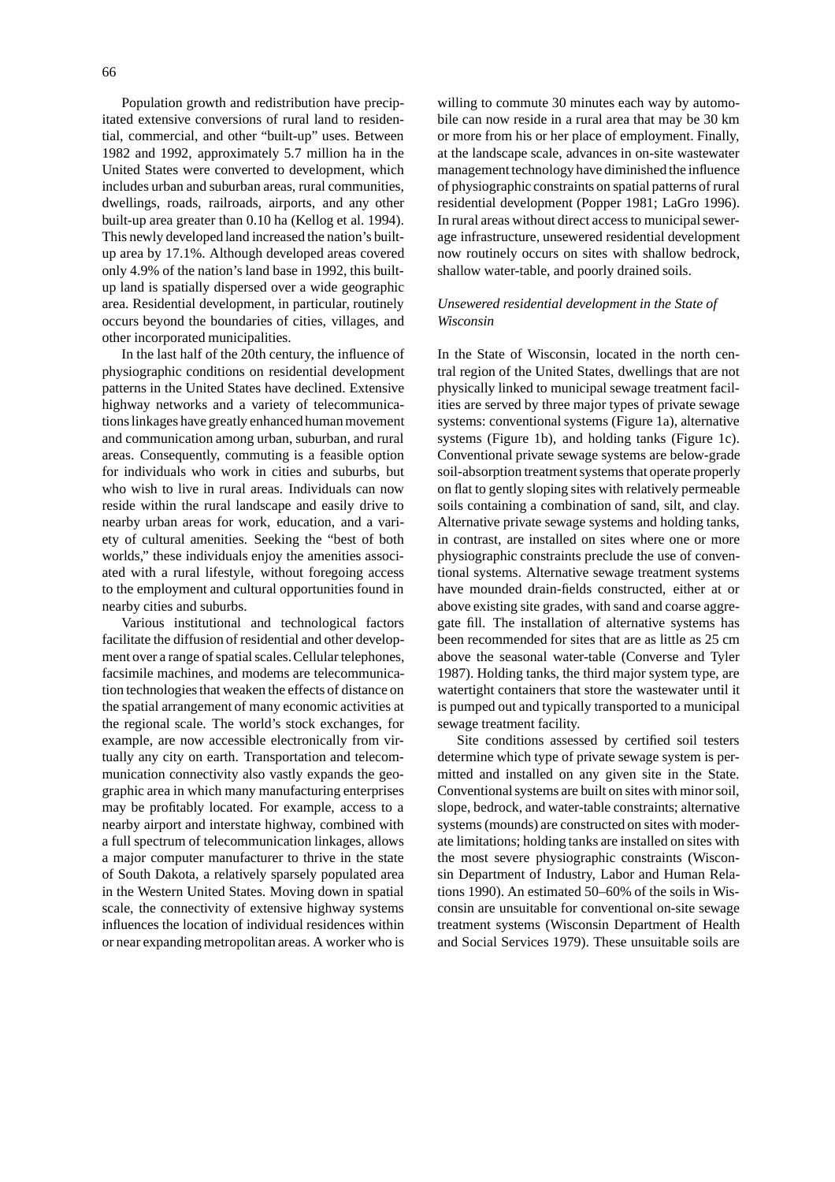Population growth and redistribution have precipitated extensive conversions of rural land to residential, commercial, and other "built-up" uses. Between 1982 and 1992, approximately 5.7 million ha in the

United States were converted to development, which includes urban and suburban areas, rural communities, dwellings, roads, railroads, airports, and any other built-up area greater than 0.10 ha (Kellog et al. 1994). This newly developed land increased the nation's builtup area by 17.1%. Although developed areas covered only 4.9% of the nation's land base in 1992, this builtup land is spatially dispersed over a wide geographic area. Residential development, in particular, routinely occurs beyond the boundaries of cities, villages, and other incorporated municipalities.

In the last half of the 20th century, the influence of physiographic conditions on residential development patterns in the United States have declined. Extensive highway networks and a variety of telecommunications linkages have greatly enhanced human movement and communication among urban, suburban, and rural areas. Consequently, commuting is a feasible option for individuals who work in cities and suburbs, but who wish to live in rural areas. Individuals can now reside within the rural landscape and easily drive to nearby urban areas for work, education, and a variety of cultural amenities. Seeking the "best of both worlds," these individuals enjoy the amenities associated with a rural lifestyle, without foregoing access to the employment and cultural opportunities found in nearby cities and suburbs.

Various institutional and technological factors facilitate the diffusion of residential and other development over a range of spatial scales.Cellular telephones, facsimile machines, and modems are telecommunication technologies that weaken the effects of distance on the spatial arrangement of many economic activities at the regional scale. The world's stock exchanges, for example, are now accessible electronically from virtually any city on earth. Transportation and telecommunication connectivity also vastly expands the geographic area in which many manufacturing enterprises may be profitably located. For example, access to a nearby airport and interstate highway, combined with a full spectrum of telecommunication linkages, allows a major computer manufacturer to thrive in the state of South Dakota, a relatively sparsely populated area in the Western United States. Moving down in spatial scale, the connectivity of extensive highway systems influences the location of individual residences within or near expanding metropolitan areas. A worker who is

willing to commute 30 minutes each way by automobile can now reside in a rural area that may be 30 km or more from his or her place of employment. Finally, at the landscape scale, advances in on-site wastewater management technology have diminished the influence of physiographic constraints on spatial patterns of rural residential development (Popper 1981; LaGro 1996). In rural areas without direct access to municipal sewerage infrastructure, unsewered residential development now routinely occurs on sites with shallow bedrock, shallow water-table, and poorly drained soils.

# *Unsewered residential development in the State of Wisconsin*

In the State of Wisconsin, located in the north central region of the United States, dwellings that are not physically linked to municipal sewage treatment facilities are served by three major types of private sewage systems: conventional systems (Figure 1a), alternative systems (Figure 1b), and holding tanks (Figure 1c). Conventional private sewage systems are below-grade soil-absorption treatment systems that operate properly on flat to gently sloping sites with relatively permeable soils containing a combination of sand, silt, and clay. Alternative private sewage systems and holding tanks, in contrast, are installed on sites where one or more physiographic constraints preclude the use of conventional systems. Alternative sewage treatment systems have mounded drain-fields constructed, either at or above existing site grades, with sand and coarse aggregate fill. The installation of alternative systems has been recommended for sites that are as little as 25 cm above the seasonal water-table (Converse and Tyler 1987). Holding tanks, the third major system type, are watertight containers that store the wastewater until it is pumped out and typically transported to a municipal sewage treatment facility.

Site conditions assessed by certified soil testers determine which type of private sewage system is permitted and installed on any given site in the State. Conventional systems are built on sites with minor soil, slope, bedrock, and water-table constraints; alternative systems (mounds) are constructed on sites with moderate limitations; holding tanks are installed on sites with the most severe physiographic constraints (Wisconsin Department of Industry, Labor and Human Relations 1990). An estimated 50–60% of the soils in Wisconsin are unsuitable for conventional on-site sewage treatment systems (Wisconsin Department of Health and Social Services 1979). These unsuitable soils are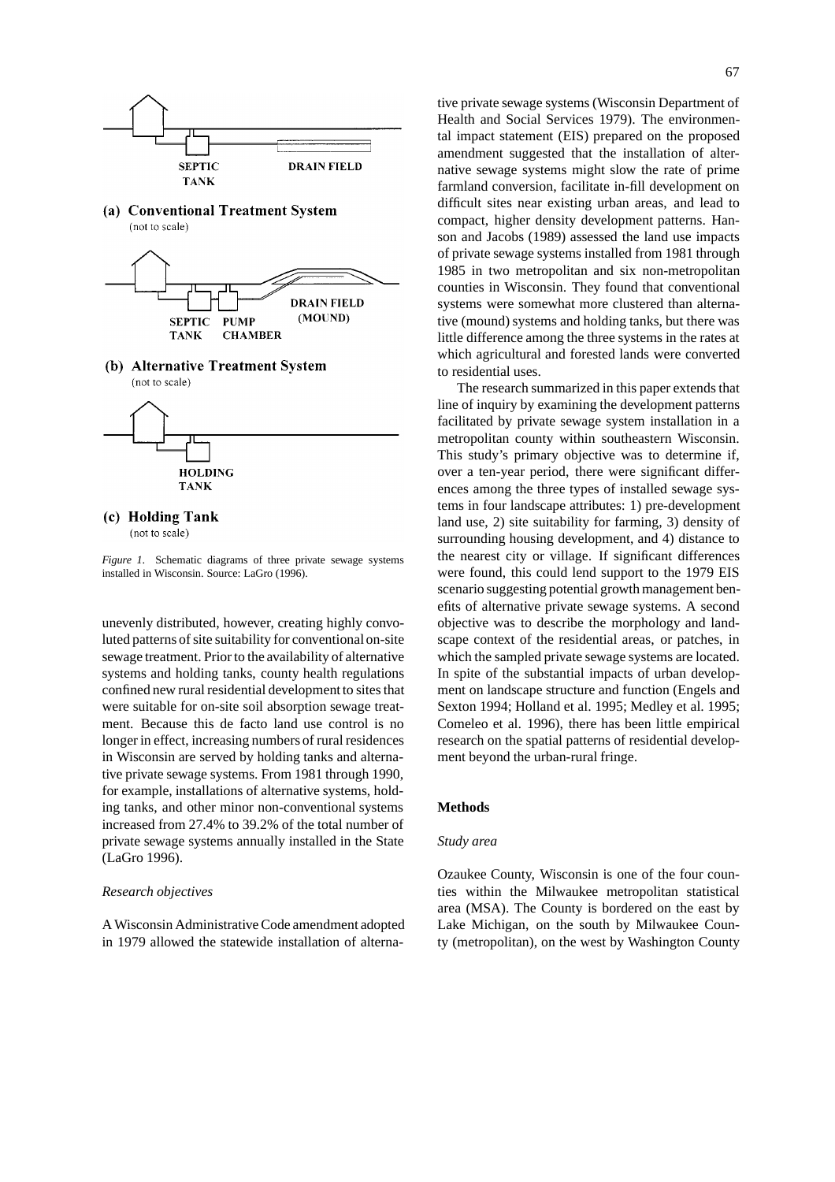

*Figure 1*. Schematic diagrams of three private sewage systems installed in Wisconsin. Source: LaGro (1996).

unevenly distributed, however, creating highly convoluted patterns of site suitability for conventional on-site sewage treatment. Prior to the availability of alternative systems and holding tanks, county health regulations confined new rural residential development to sites that were suitable for on-site soil absorption sewage treatment. Because this de facto land use control is no longer in effect, increasing numbers of rural residences in Wisconsin are served by holding tanks and alternative private sewage systems. From 1981 through 1990, for example, installations of alternative systems, holding tanks, and other minor non-conventional systems increased from 27.4% to 39.2% of the total number of private sewage systems annually installed in the State (LaGro 1996).

#### *Research objectives*

A Wisconsin Administrative Code amendment adopted in 1979 allowed the statewide installation of alternative private sewage systems (Wisconsin Department of Health and Social Services 1979). The environmental impact statement (EIS) prepared on the proposed amendment suggested that the installation of alternative sewage systems might slow the rate of prime farmland conversion, facilitate in-fill development on difficult sites near existing urban areas, and lead to compact, higher density development patterns. Hanson and Jacobs (1989) assessed the land use impacts of private sewage systems installed from 1981 through 1985 in two metropolitan and six non-metropolitan counties in Wisconsin. They found that conventional systems were somewhat more clustered than alternative (mound) systems and holding tanks, but there was little difference among the three systems in the rates at which agricultural and forested lands were converted to residential uses.

The research summarized in this paper extends that line of inquiry by examining the development patterns facilitated by private sewage system installation in a metropolitan county within southeastern Wisconsin. This study's primary objective was to determine if, over a ten-year period, there were significant differences among the three types of installed sewage systems in four landscape attributes: 1) pre-development land use, 2) site suitability for farming, 3) density of surrounding housing development, and 4) distance to the nearest city or village. If significant differences were found, this could lend support to the 1979 EIS scenario suggesting potential growth management benefits of alternative private sewage systems. A second objective was to describe the morphology and landscape context of the residential areas, or patches, in which the sampled private sewage systems are located. In spite of the substantial impacts of urban development on landscape structure and function (Engels and Sexton 1994; Holland et al. 1995; Medley et al. 1995; Comeleo et al. 1996), there has been little empirical research on the spatial patterns of residential development beyond the urban-rural fringe.

#### **Methods**

#### *Study area*

Ozaukee County, Wisconsin is one of the four counties within the Milwaukee metropolitan statistical area (MSA). The County is bordered on the east by Lake Michigan, on the south by Milwaukee County (metropolitan), on the west by Washington County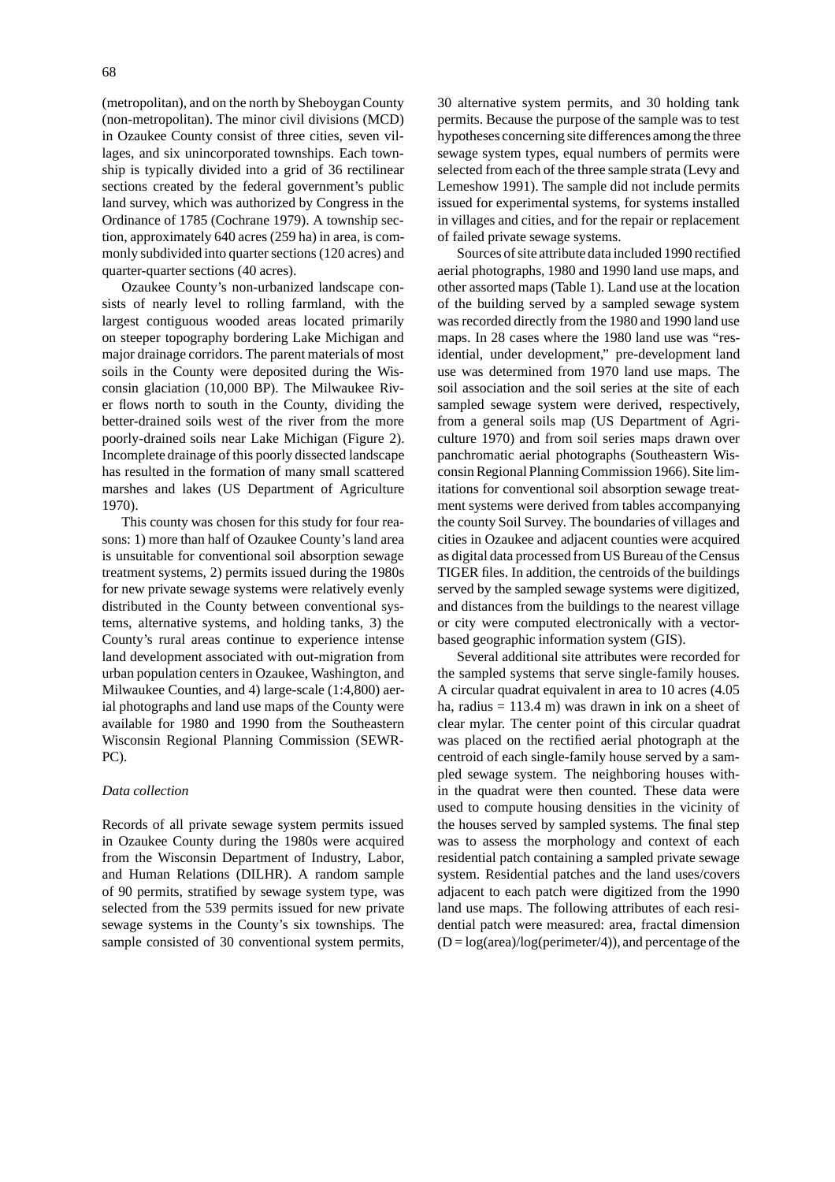(metropolitan), and on the north by Sheboygan County (non-metropolitan). The minor civil divisions (MCD) in Ozaukee County consist of three cities, seven villages, and six unincorporated townships. Each township is typically divided into a grid of 36 rectilinear sections created by the federal government's public land survey, which was authorized by Congress in the Ordinance of 1785 (Cochrane 1979). A township section, approximately 640 acres (259 ha) in area, is commonly subdivided into quarter sections (120 acres) and quarter-quarter sections (40 acres).

Ozaukee County's non-urbanized landscape consists of nearly level to rolling farmland, with the largest contiguous wooded areas located primarily on steeper topography bordering Lake Michigan and major drainage corridors. The parent materials of most soils in the County were deposited during the Wisconsin glaciation (10,000 BP). The Milwaukee River flows north to south in the County, dividing the better-drained soils west of the river from the more poorly-drained soils near Lake Michigan (Figure 2). Incomplete drainage of this poorly dissected landscape has resulted in the formation of many small scattered marshes and lakes (US Department of Agriculture 1970).

This county was chosen for this study for four reasons: 1) more than half of Ozaukee County's land area is unsuitable for conventional soil absorption sewage treatment systems, 2) permits issued during the 1980s for new private sewage systems were relatively evenly distributed in the County between conventional systems, alternative systems, and holding tanks, 3) the County's rural areas continue to experience intense land development associated with out-migration from urban population centers in Ozaukee, Washington, and Milwaukee Counties, and 4) large-scale (1:4,800) aerial photographs and land use maps of the County were available for 1980 and 1990 from the Southeastern Wisconsin Regional Planning Commission (SEWR-PC).

### *Data collection*

Records of all private sewage system permits issued in Ozaukee County during the 1980s were acquired from the Wisconsin Department of Industry, Labor, and Human Relations (DILHR). A random sample of 90 permits, stratified by sewage system type, was selected from the 539 permits issued for new private sewage systems in the County's six townships. The sample consisted of 30 conventional system permits, 30 alternative system permits, and 30 holding tank permits. Because the purpose of the sample was to test hypotheses concerning site differences among the three sewage system types, equal numbers of permits were selected from each of the three sample strata (Levy and Lemeshow 1991). The sample did not include permits issued for experimental systems, for systems installed in villages and cities, and for the repair or replacement of failed private sewage systems.

Sources of site attribute data included 1990 rectified aerial photographs, 1980 and 1990 land use maps, and other assorted maps (Table 1). Land use at the location of the building served by a sampled sewage system was recorded directly from the 1980 and 1990 land use maps. In 28 cases where the 1980 land use was "residential, under development," pre-development land use was determined from 1970 land use maps. The soil association and the soil series at the site of each sampled sewage system were derived, respectively, from a general soils map (US Department of Agriculture 1970) and from soil series maps drawn over panchromatic aerial photographs (Southeastern Wisconsin Regional Planning Commission 1966). Site limitations for conventional soil absorption sewage treatment systems were derived from tables accompanying the county Soil Survey. The boundaries of villages and cities in Ozaukee and adjacent counties were acquired as digital data processed from US Bureau of the Census TIGER files. In addition, the centroids of the buildings served by the sampled sewage systems were digitized, and distances from the buildings to the nearest village or city were computed electronically with a vectorbased geographic information system (GIS).

Several additional site attributes were recorded for the sampled systems that serve single-family houses. A circular quadrat equivalent in area to 10 acres (4.05 ha, radius  $= 113.4$  m) was drawn in ink on a sheet of clear mylar. The center point of this circular quadrat was placed on the rectified aerial photograph at the centroid of each single-family house served by a sampled sewage system. The neighboring houses within the quadrat were then counted. These data were used to compute housing densities in the vicinity of the houses served by sampled systems. The final step was to assess the morphology and context of each residential patch containing a sampled private sewage system. Residential patches and the land uses/covers adjacent to each patch were digitized from the 1990 land use maps. The following attributes of each residential patch were measured: area, fractal dimension  $(D = log(area)/log(perimeter/4))$ , and percentage of the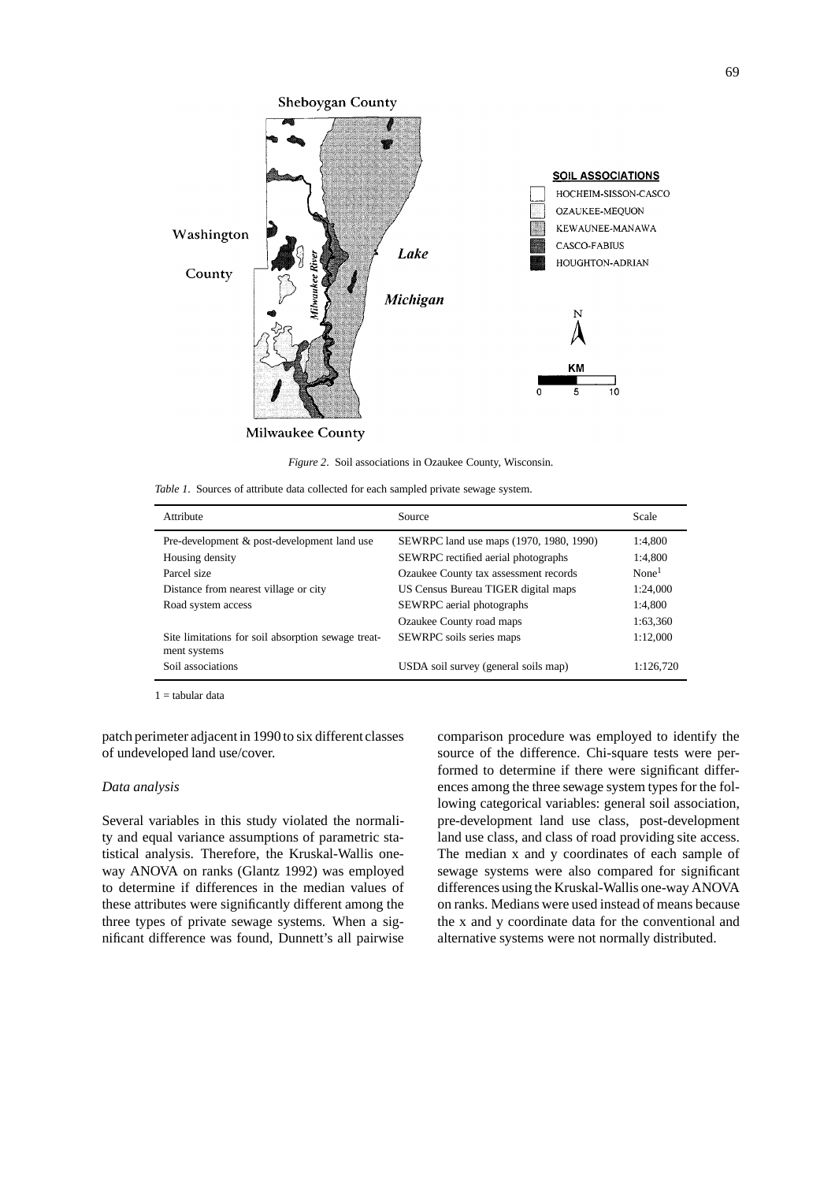

**Milwaukee County** 

*Figure 2*. Soil associations in Ozaukee County, Wisconsin.

*Table 1*. Sources of attribute data collected for each sampled private sewage system.

| Attribute                                                          | Source                                  | Scale             |
|--------------------------------------------------------------------|-----------------------------------------|-------------------|
| Pre-development & post-development land use                        | SEWRPC land use maps (1970, 1980, 1990) | 1:4,800           |
| Housing density                                                    | SEWRPC rectified aerial photographs     | 1:4.800           |
| Parcel size                                                        | Ozaukee County tax assessment records   | None <sup>1</sup> |
| Distance from nearest village or city                              | US Census Bureau TIGER digital maps     | 1:24,000          |
| Road system access                                                 | SEWRPC aerial photographs               | 1:4.800           |
|                                                                    | Ozaukee County road maps                | 1:63,360          |
| Site limitations for soil absorption sewage treat-<br>ment systems | SEWRPC soils series maps                | 1:12,000          |
| Soil associations                                                  | USDA soil survey (general soils map)    | 1:126.720         |

1 = tabular data

patch perimeter adjacent in 1990 to six different classes of undeveloped land use/cover.

#### *Data analysis*

Several variables in this study violated the normality and equal variance assumptions of parametric statistical analysis. Therefore, the Kruskal-Wallis oneway ANOVA on ranks (Glantz 1992) was employed to determine if differences in the median values of these attributes were significantly different among the three types of private sewage systems. When a significant difference was found, Dunnett's all pairwise

comparison procedure was employed to identify the source of the difference. Chi-square tests were performed to determine if there were significant differences among the three sewage system types for the following categorical variables: general soil association, pre-development land use class, post-development land use class, and class of road providing site access. The median x and y coordinates of each sample of sewage systems were also compared for significant differences using the Kruskal-Wallis one-way ANOVA on ranks. Medians were used instead of means because the x and y coordinate data for the conventional and alternative systems were not normally distributed.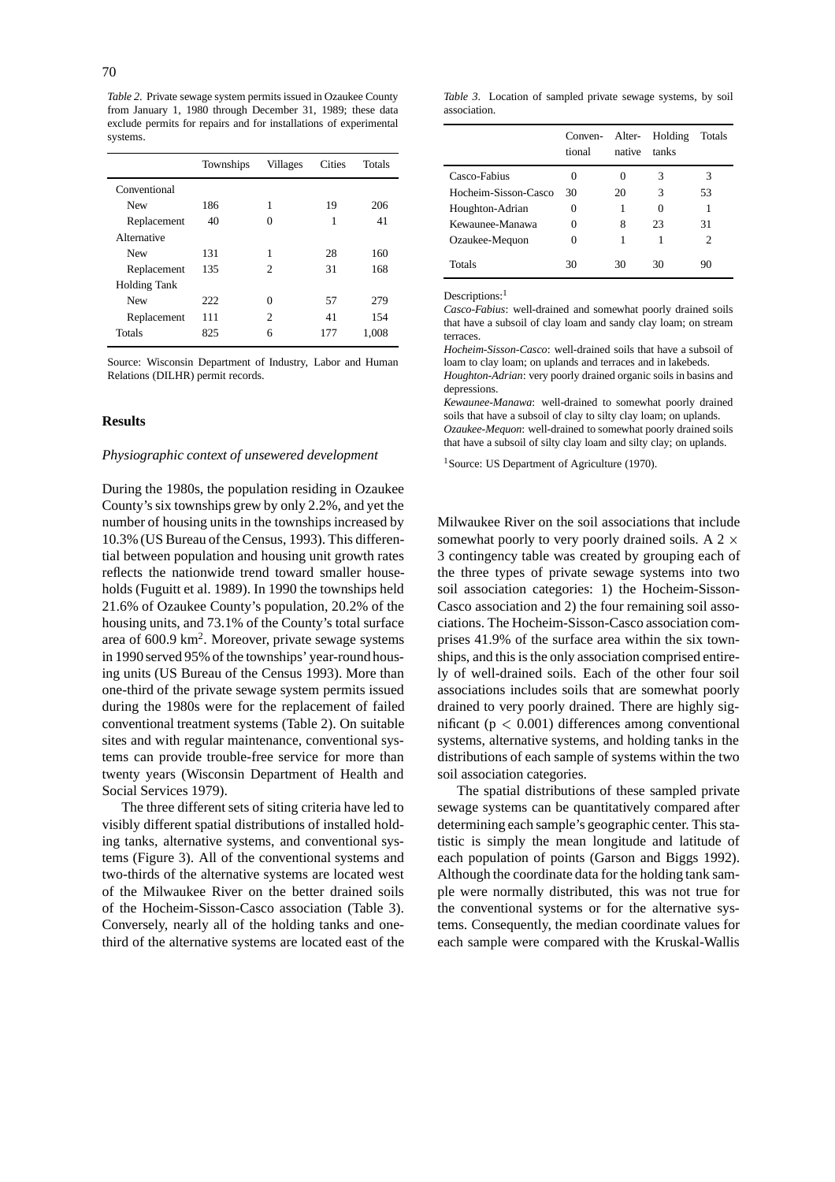*Table 2*. Private sewage system permits issued in Ozaukee County from January 1, 1980 through December 31, 1989; these data exclude permits for repairs and for installations of experimental systems.

|              | Townships | Villages | Cities | Totals |
|--------------|-----------|----------|--------|--------|
| Conventional |           |          |        |        |
| <b>New</b>   | 186       | 1        | 19     | 206    |
| Replacement  | 40        | 0        | 1      | 41     |
| Alternative  |           |          |        |        |
| <b>New</b>   | 131       | 1        | 28     | 160    |
| Replacement  | 135       | 2        | 31     | 168    |
| Holding Tank |           |          |        |        |
| <b>New</b>   | 222.      | 0        | 57     | 279    |
| Replacement  | 111       | 2        | 41     | 154    |
| Totals       | 825       | 6        | 177    | 1,008  |

Source: Wisconsin Department of Industry, Labor and Human Relations (DILHR) permit records.

### **Results**

#### *Physiographic context of unsewered development*

During the 1980s, the population residing in Ozaukee County's six townships grew by only 2.2%, and yet the number of housing units in the townships increased by 10.3% (US Bureau of the Census, 1993). This differential between population and housing unit growth rates reflects the nationwide trend toward smaller households (Fuguitt et al. 1989). In 1990 the townships held 21.6% of Ozaukee County's population, 20.2% of the housing units, and 73.1% of the County's total surface area of  $600.9 \text{ km}^2$ . Moreover, private sewage systems in 1990 served 95% of the townships' year-round housing units (US Bureau of the Census 1993). More than one-third of the private sewage system permits issued during the 1980s were for the replacement of failed conventional treatment systems (Table 2). On suitable sites and with regular maintenance, conventional systems can provide trouble-free service for more than twenty years (Wisconsin Department of Health and Social Services 1979).

The three different sets of siting criteria have led to visibly different spatial distributions of installed holding tanks, alternative systems, and conventional systems (Figure 3). All of the conventional systems and two-thirds of the alternative systems are located west of the Milwaukee River on the better drained soils of the Hocheim-Sisson-Casco association (Table 3). Conversely, nearly all of the holding tanks and onethird of the alternative systems are located east of the

*Table 3*. Location of sampled private sewage systems, by soil association.

|                      | Conven-<br>tional | native | Alter- Holding<br>tanks | Totals |
|----------------------|-------------------|--------|-------------------------|--------|
| Casco-Fabius         | $_{0}$            | $_{0}$ | 3                       | 3      |
| Hocheim-Sisson-Casco | 30                | 20     | 3                       | 53     |
| Houghton-Adrian      | 0                 | 1      | $\theta$                | 1      |
| Kewaunee-Manawa      | 0                 | 8      | 23                      | 31     |
| Ozaukee-Mequon       | $_{0}$            | 1      | 1                       | 2      |
| Totals               | 30                | 30     | 30                      | 90     |

Descriptions:<sup>1</sup>

*Casco-Fabius*: well-drained and somewhat poorly drained soils that have a subsoil of clay loam and sandy clay loam; on stream terraces.

*Hocheim-Sisson-Casco*: well-drained soils that have a subsoil of loam to clay loam; on uplands and terraces and in lakebeds.

*Houghton-Adrian*: very poorly drained organic soils in basins and depressions.

*Kewaunee-Manawa*: well-drained to somewhat poorly drained soils that have a subsoil of clay to silty clay loam; on uplands. *Ozaukee-Mequon*: well-drained to somewhat poorly drained soils that have a subsoil of silty clay loam and silty clay; on uplands.

<sup>1</sup>Source: US Department of Agriculture (1970).

Milwaukee River on the soil associations that include somewhat poorly to very poorly drained soils. A 2  $\times$ 3 contingency table was created by grouping each of the three types of private sewage systems into two soil association categories: 1) the Hocheim-Sisson-Casco association and 2) the four remaining soil associations. The Hocheim-Sisson-Casco association comprises 41.9% of the surface area within the six townships, and this is the only association comprised entirely of well-drained soils. Each of the other four soil associations includes soils that are somewhat poorly drained to very poorly drained. There are highly significant ( $p < 0.001$ ) differences among conventional systems, alternative systems, and holding tanks in the distributions of each sample of systems within the two soil association categories.

The spatial distributions of these sampled private sewage systems can be quantitatively compared after determining each sample's geographic center. This statistic is simply the mean longitude and latitude of each population of points (Garson and Biggs 1992). Although the coordinate data for the holding tank sample were normally distributed, this was not true for the conventional systems or for the alternative systems. Consequently, the median coordinate values for each sample were compared with the Kruskal-Wallis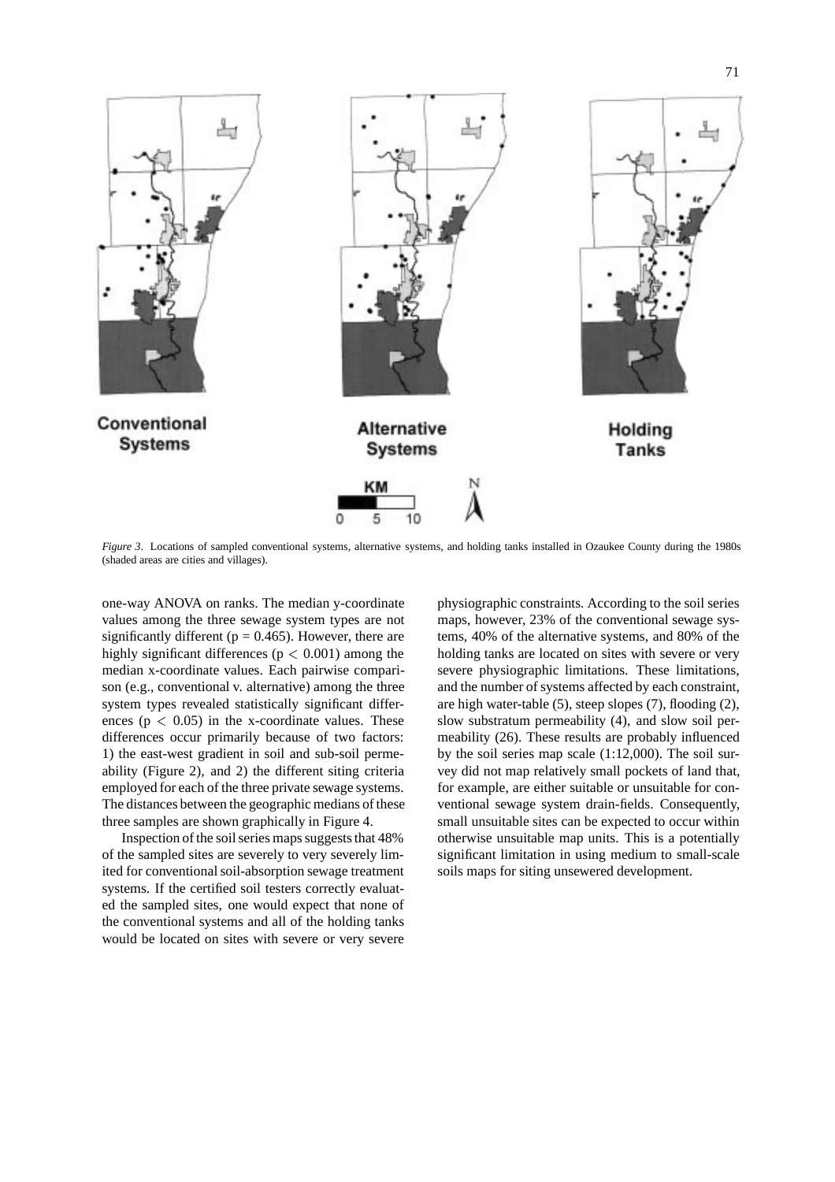

*Figure 3*. Locations of sampled conventional systems, alternative systems, and holding tanks installed in Ozaukee County during the 1980s (shaded areas are cities and villages).

one-way ANOVA on ranks. The median y-coordinate values among the three sewage system types are not significantly different ( $p = 0.465$ ). However, there are highly significant differences ( $p < 0.001$ ) among the median x-coordinate values. Each pairwise comparison (e.g., conventional v. alternative) among the three system types revealed statistically significant differences ( $p < 0.05$ ) in the x-coordinate values. These differences occur primarily because of two factors: 1) the east-west gradient in soil and sub-soil permeability (Figure 2), and 2) the different siting criteria employed for each of the three private sewage systems. The distances between the geographic medians of these three samples are shown graphically in Figure 4.

Inspection of the soil series maps suggests that 48% of the sampled sites are severely to very severely limited for conventional soil-absorption sewage treatment systems. If the certified soil testers correctly evaluated the sampled sites, one would expect that none of the conventional systems and all of the holding tanks would be located on sites with severe or very severe physiographic constraints. According to the soil series maps, however, 23% of the conventional sewage systems, 40% of the alternative systems, and 80% of the holding tanks are located on sites with severe or very severe physiographic limitations. These limitations, and the number of systems affected by each constraint, are high water-table (5), steep slopes (7), flooding (2), slow substratum permeability (4), and slow soil permeability (26). These results are probably influenced by the soil series map scale (1:12,000). The soil survey did not map relatively small pockets of land that, for example, are either suitable or unsuitable for conventional sewage system drain-fields. Consequently, small unsuitable sites can be expected to occur within otherwise unsuitable map units. This is a potentially significant limitation in using medium to small-scale soils maps for siting unsewered development.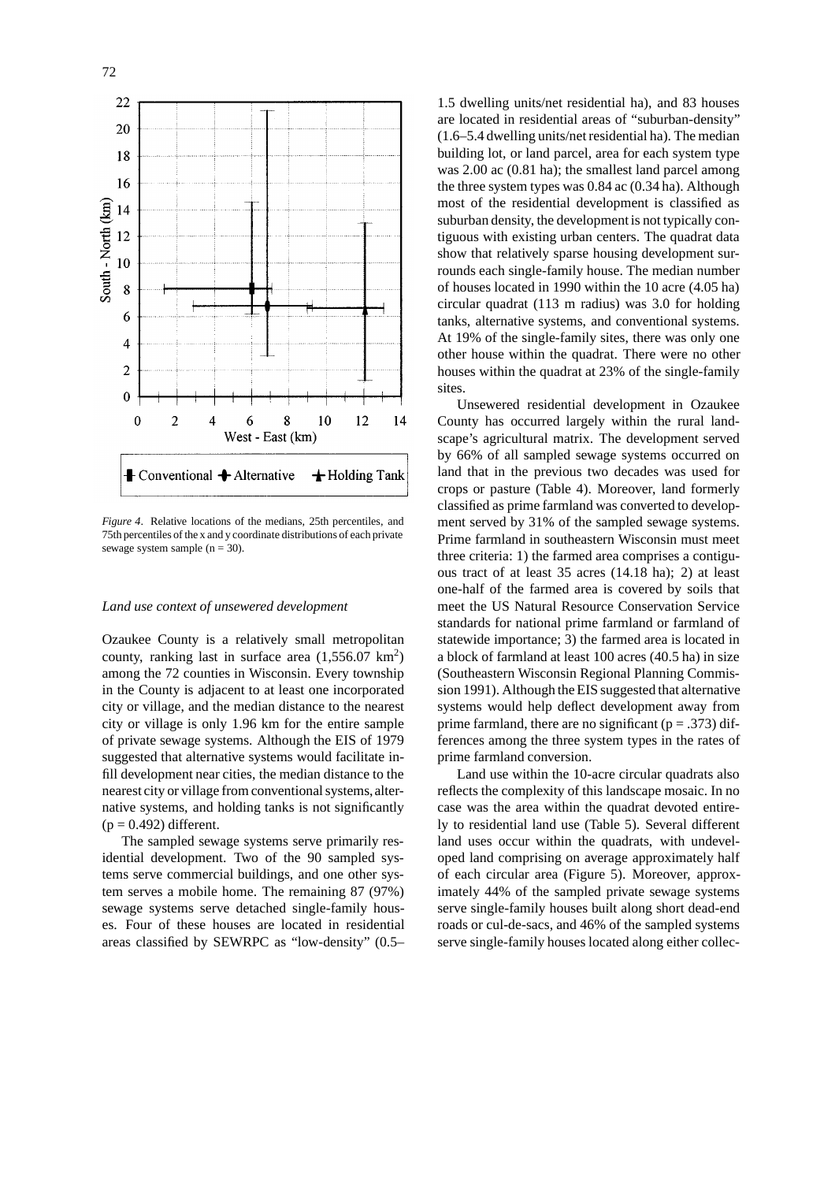

*Figure 4.* Relative locations of the medians, 25th percentiles, and 75th percentiles of the x and y coordinate distributions of each private sewage system sample  $(n = 30)$ .

### *Land use context of unsewered development*

Ozaukee County is a relatively small metropolitan county, ranking last in surface area  $(1,556.07 \text{ km}^2)$ among the 72 counties in Wisconsin. Every township in the County is adjacent to at least one incorporated city or village, and the median distance to the nearest city or village is only 1.96 km for the entire sample of private sewage systems. Although the EIS of 1979 suggested that alternative systems would facilitate infill development near cities, the median distance to the nearest city or village from conventional systems, alternative systems, and holding tanks is not significantly  $(p = 0.492)$  different.

The sampled sewage systems serve primarily residential development. Two of the 90 sampled systems serve commercial buildings, and one other system serves a mobile home. The remaining 87 (97%) sewage systems serve detached single-family houses. Four of these houses are located in residential areas classified by SEWRPC as "low-density" (0.5–

1.5 dwelling units/net residential ha), and 83 houses are located in residential areas of "suburban-density" (1.6–5.4 dwelling units/net residential ha). The median building lot, or land parcel, area for each system type was 2.00 ac (0.81 ha); the smallest land parcel among the three system types was 0.84 ac (0.34 ha). Although most of the residential development is classified as suburban density, the development is not typically contiguous with existing urban centers. The quadrat data show that relatively sparse housing development surrounds each single-family house. The median number of houses located in 1990 within the 10 acre (4.05 ha) circular quadrat (113 m radius) was 3.0 for holding tanks, alternative systems, and conventional systems. At 19% of the single-family sites, there was only one other house within the quadrat. There were no other houses within the quadrat at 23% of the single-family sites.

Unsewered residential development in Ozaukee County has occurred largely within the rural landscape's agricultural matrix. The development served by 66% of all sampled sewage systems occurred on land that in the previous two decades was used for crops or pasture (Table 4). Moreover, land formerly classified as prime farmland was converted to development served by 31% of the sampled sewage systems. Prime farmland in southeastern Wisconsin must meet three criteria: 1) the farmed area comprises a contiguous tract of at least 35 acres (14.18 ha); 2) at least one-half of the farmed area is covered by soils that meet the US Natural Resource Conservation Service standards for national prime farmland or farmland of statewide importance; 3) the farmed area is located in a block of farmland at least 100 acres (40.5 ha) in size (Southeastern Wisconsin Regional Planning Commission 1991). Although the EIS suggested that alternative systems would help deflect development away from prime farmland, there are no significant ( $p = .373$ ) differences among the three system types in the rates of prime farmland conversion.

Land use within the 10-acre circular quadrats also reflects the complexity of this landscape mosaic. In no case was the area within the quadrat devoted entirely to residential land use (Table 5). Several different land uses occur within the quadrats, with undeveloped land comprising on average approximately half of each circular area (Figure 5). Moreover, approximately 44% of the sampled private sewage systems serve single-family houses built along short dead-end roads or cul-de-sacs, and 46% of the sampled systems serve single-family houses located along either collec-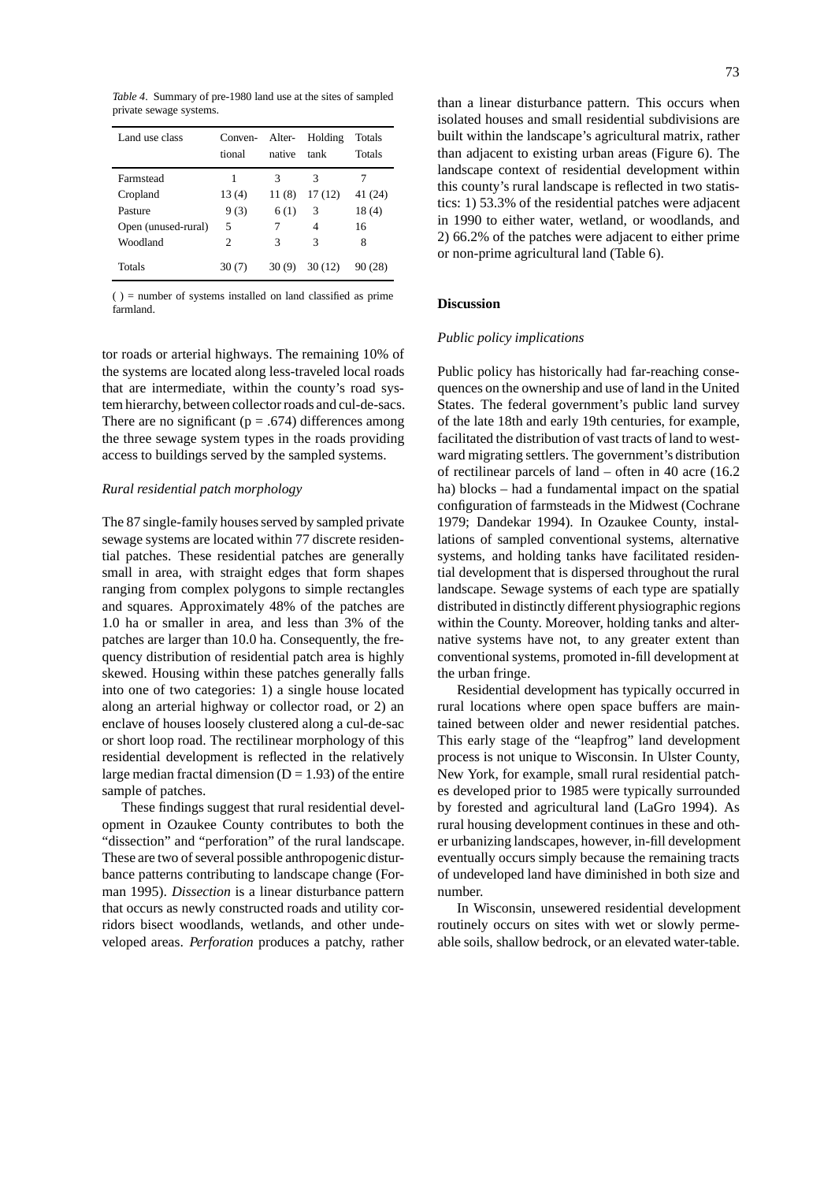*Table 4*. Summary of pre-1980 land use at the sites of sampled private sewage systems.

| Land use class      | Conven-<br>tional | Alter-<br>native | Holding<br>tank | Totals<br>Totals |
|---------------------|-------------------|------------------|-----------------|------------------|
| Farmstead           | 1                 | 3                | 3               |                  |
| Cropland            | 13(4)             | 11(8)            | 17(12)          | 41 (24)          |
| Pasture             | 9(3)              | 6(1)             | 3               | 18(4)            |
| Open (unused-rural) | 5                 | 7                | 4               | 16               |
| Woodland            | 2                 | 3                | 3               | 8                |
| Totals              | 30(7)             | 30(9)            | 30 (12)         | 90 (28)          |

( ) = number of systems installed on land classified as prime farmland.

tor roads or arterial highways. The remaining 10% of the systems are located along less-traveled local roads that are intermediate, within the county's road system hierarchy, between collector roads and cul-de-sacs. There are no significant ( $p = .674$ ) differences among the three sewage system types in the roads providing access to buildings served by the sampled systems.

# *Rural residential patch morphology*

The 87 single-family houses served by sampled private sewage systems are located within 77 discrete residential patches. These residential patches are generally small in area, with straight edges that form shapes ranging from complex polygons to simple rectangles and squares. Approximately 48% of the patches are 1.0 ha or smaller in area, and less than 3% of the patches are larger than 10.0 ha. Consequently, the frequency distribution of residential patch area is highly skewed. Housing within these patches generally falls into one of two categories: 1) a single house located along an arterial highway or collector road, or 2) an enclave of houses loosely clustered along a cul-de-sac or short loop road. The rectilinear morphology of this residential development is reflected in the relatively large median fractal dimension ( $D = 1.93$ ) of the entire sample of patches.

These findings suggest that rural residential development in Ozaukee County contributes to both the "dissection" and "perforation" of the rural landscape. These are two of several possible anthropogenic disturbance patterns contributing to landscape change (Forman 1995). *Dissection* is a linear disturbance pattern that occurs as newly constructed roads and utility corridors bisect woodlands, wetlands, and other undeveloped areas. *Perforation* produces a patchy, rather than a linear disturbance pattern. This occurs when isolated houses and small residential subdivisions are built within the landscape's agricultural matrix, rather than adjacent to existing urban areas (Figure 6). The landscape context of residential development within this county's rural landscape is reflected in two statistics: 1) 53.3% of the residential patches were adjacent in 1990 to either water, wetland, or woodlands, and 2) 66.2% of the patches were adjacent to either prime or non-prime agricultural land (Table 6).

#### **Discussion**

#### *Public policy implications*

Public policy has historically had far-reaching consequences on the ownership and use of land in the United States. The federal government's public land survey of the late 18th and early 19th centuries, for example, facilitated the distribution of vast tracts of land to westward migrating settlers. The government's distribution of rectilinear parcels of land – often in 40 acre (16.2 ha) blocks – had a fundamental impact on the spatial configuration of farmsteads in the Midwest (Cochrane 1979; Dandekar 1994). In Ozaukee County, installations of sampled conventional systems, alternative systems, and holding tanks have facilitated residential development that is dispersed throughout the rural landscape. Sewage systems of each type are spatially distributed in distinctly different physiographic regions within the County. Moreover, holding tanks and alternative systems have not, to any greater extent than conventional systems, promoted in-fill development at the urban fringe.

Residential development has typically occurred in rural locations where open space buffers are maintained between older and newer residential patches. This early stage of the "leapfrog" land development process is not unique to Wisconsin. In Ulster County, New York, for example, small rural residential patches developed prior to 1985 were typically surrounded by forested and agricultural land (LaGro 1994). As rural housing development continues in these and other urbanizing landscapes, however, in-fill development eventually occurs simply because the remaining tracts of undeveloped land have diminished in both size and number.

In Wisconsin, unsewered residential development routinely occurs on sites with wet or slowly permeable soils, shallow bedrock, or an elevated water-table.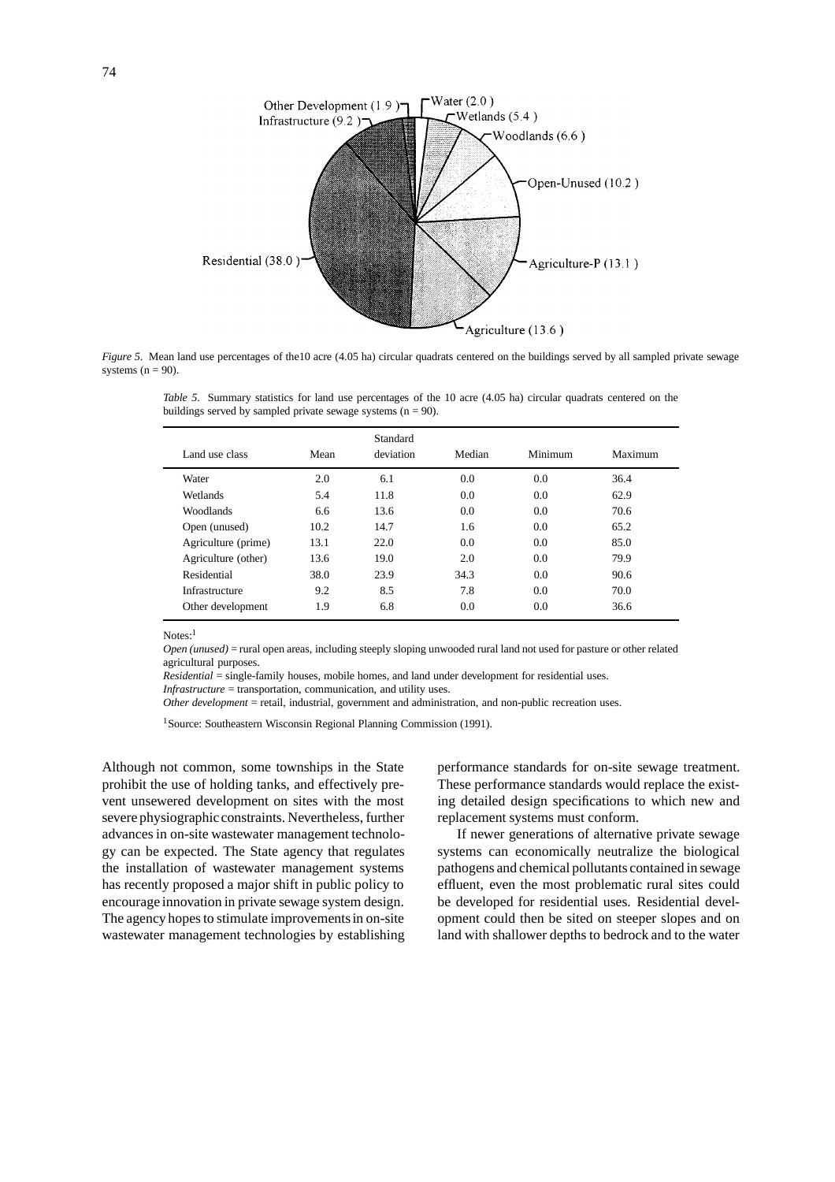

*Figure 5*. Mean land use percentages of the10 acre (4.05 ha) circular quadrats centered on the buildings served by all sampled private sewage systems  $(n = 90)$ .

*Table 5*. Summary statistics for land use percentages of the 10 acre (4.05 ha) circular quadrats centered on the buildings served by sampled private sewage systems  $(n = 90)$ .

| Land use class      | Mean | Standard<br>deviation | Median | Minimum | Maximum |
|---------------------|------|-----------------------|--------|---------|---------|
| Water               | 2.0  | 6.1                   | 0.0    | 0.0     | 36.4    |
| Wetlands            | 5.4  | 11.8                  | 0.0    | 0.0     | 62.9    |
| Woodlands           | 6.6  | 13.6                  | 0.0    | 0.0     | 70.6    |
| Open (unused)       | 10.2 | 14.7                  | 1.6    | 0.0     | 65.2    |
| Agriculture (prime) | 13.1 | 22.0                  | 0.0    | 0.0     | 85.0    |
| Agriculture (other) | 13.6 | 19.0                  | 2.0    | 0.0     | 79.9    |
| Residential         | 38.0 | 23.9                  | 34.3   | 0.0     | 90.6    |
| Infrastructure      | 9.2  | 8.5                   | 7.8    | 0.0     | 70.0    |
| Other development   | 1.9  | 6.8                   | 0.0    | 0.0     | 36.6    |

Notes:<sup>1</sup>

*Open (unused)* = rural open areas, including steeply sloping unwooded rural land not used for pasture or other related agricultural purposes.

*Residential* = single-family houses, mobile homes, and land under development for residential uses.

*Infrastructure* = transportation, communication, and utility uses.

*Other development* = retail, industrial, government and administration, and non-public recreation uses.

<sup>1</sup> Source: Southeastern Wisconsin Regional Planning Commission (1991).

Although not common, some townships in the State prohibit the use of holding tanks, and effectively prevent unsewered development on sites with the most severe physiographic constraints. Nevertheless, further advances in on-site wastewater management technology can be expected. The State agency that regulates the installation of wastewater management systems has recently proposed a major shift in public policy to encourage innovation in private sewage system design. The agency hopes to stimulate improvements in on-site wastewater management technologies by establishing performance standards for on-site sewage treatment. These performance standards would replace the existing detailed design specifications to which new and replacement systems must conform.

If newer generations of alternative private sewage systems can economically neutralize the biological pathogens and chemical pollutants contained in sewage effluent, even the most problematic rural sites could be developed for residential uses. Residential development could then be sited on steeper slopes and on land with shallower depths to bedrock and to the water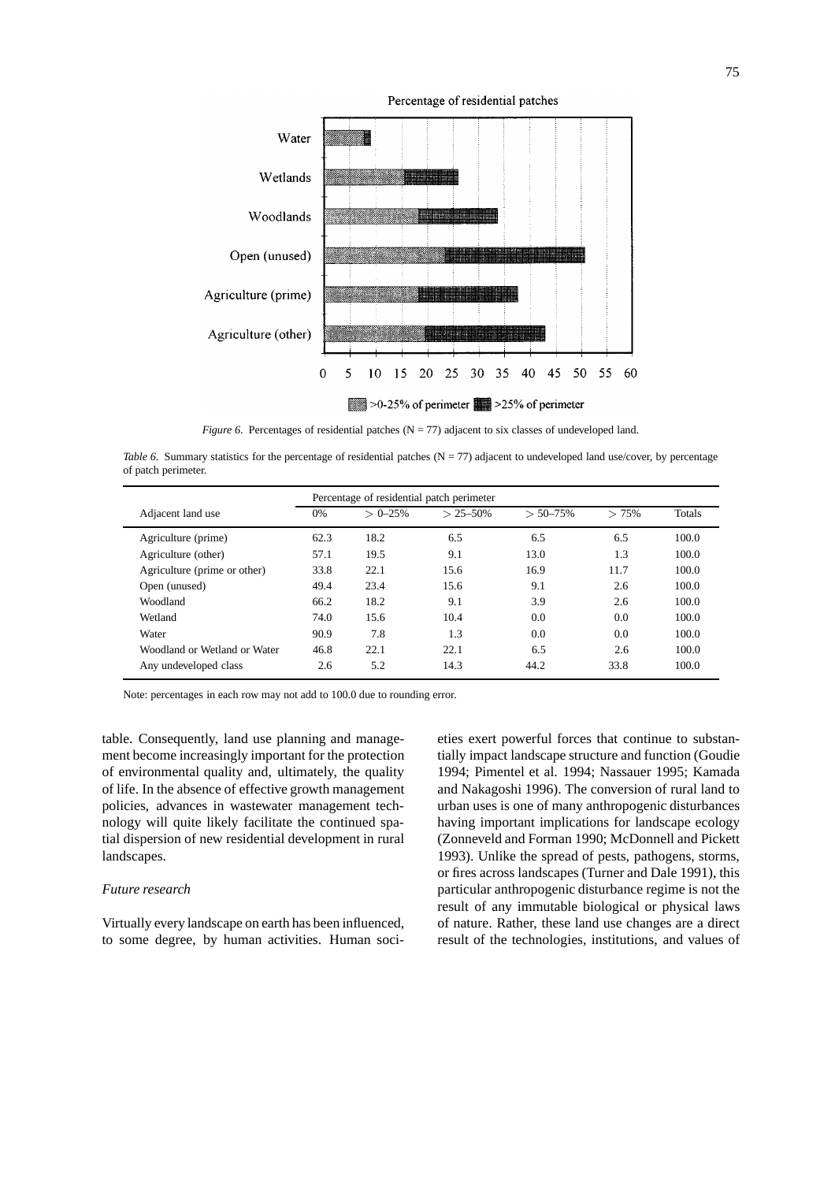Percentage of residential patches



*Figure 6*. Percentages of residential patches ( $N = 77$ ) adjacent to six classes of undeveloped land.

*Table 6*. Summary statistics for the percentage of residential patches ( $N = 77$ ) adjacent to undeveloped land use/cover, by percentage of patch perimeter.

| Adjacent land use            | Percentage of residential patch perimeter |              |               |              |       |        |  |
|------------------------------|-------------------------------------------|--------------|---------------|--------------|-------|--------|--|
|                              | 0%                                        | $> 0 - 25\%$ | $> 25 - 50\%$ | $> 50 - 75%$ | > 75% | Totals |  |
| Agriculture (prime)          | 62.3                                      | 18.2         | 6.5           | 6.5          | 6.5   | 100.0  |  |
| Agriculture (other)          | 57.1                                      | 19.5         | 9.1           | 13.0         | 1.3   | 100.0  |  |
| Agriculture (prime or other) | 33.8                                      | 22.1         | 15.6          | 16.9         | 11.7  | 100.0  |  |
| Open (unused)                | 49.4                                      | 23.4         | 15.6          | 9.1          | 2.6   | 100.0  |  |
| Woodland                     | 66.2                                      | 18.2         | 9.1           | 3.9          | 2.6   | 100.0  |  |
| Wetland                      | 74.0                                      | 15.6         | 10.4          | 0.0          | 0.0   | 100.0  |  |
| Water                        | 90.9                                      | 7.8          | 1.3           | 0.0          | 0.0   | 100.0  |  |
| Woodland or Wetland or Water | 46.8                                      | 22.1         | 22.1          | 6.5          | 2.6   | 100.0  |  |
| Any undeveloped class        | 2.6                                       | 5.2          | 14.3          | 44.2         | 33.8  | 100.0  |  |

Note: percentages in each row may not add to 100.0 due to rounding error.

table. Consequently, land use planning and management become increasingly important for the protection of environmental quality and, ultimately, the quality of life. In the absence of effective growth management policies, advances in wastewater management technology will quite likely facilitate the continued spatial dispersion of new residential development in rural landscapes.

#### *Future research*

Virtually every landscape on earth has been influenced, to some degree, by human activities. Human societies exert powerful forces that continue to substantially impact landscape structure and function (Goudie 1994; Pimentel et al. 1994; Nassauer 1995; Kamada and Nakagoshi 1996). The conversion of rural land to urban uses is one of many anthropogenic disturbances having important implications for landscape ecology (Zonneveld and Forman 1990; McDonnell and Pickett 1993). Unlike the spread of pests, pathogens, storms, or fires across landscapes (Turner and Dale 1991), this particular anthropogenic disturbance regime is not the result of any immutable biological or physical laws of nature. Rather, these land use changes are a direct result of the technologies, institutions, and values of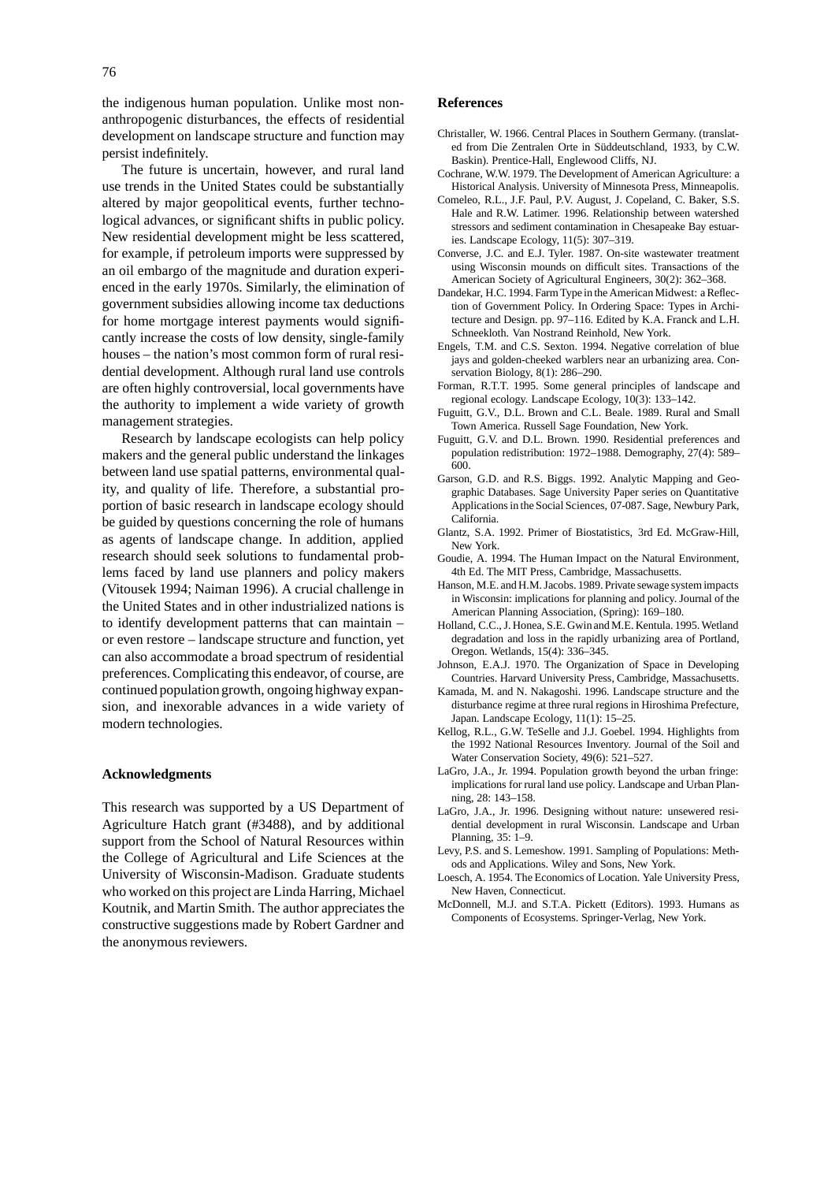the indigenous human population. Unlike most nonanthropogenic disturbances, the effects of residential development on landscape structure and function may persist indefinitely.

The future is uncertain, however, and rural land use trends in the United States could be substantially altered by major geopolitical events, further technological advances, or significant shifts in public policy. New residential development might be less scattered, for example, if petroleum imports were suppressed by an oil embargo of the magnitude and duration experienced in the early 1970s. Similarly, the elimination of government subsidies allowing income tax deductions for home mortgage interest payments would significantly increase the costs of low density, single-family houses – the nation's most common form of rural residential development. Although rural land use controls are often highly controversial, local governments have the authority to implement a wide variety of growth management strategies.

Research by landscape ecologists can help policy makers and the general public understand the linkages between land use spatial patterns, environmental quality, and quality of life. Therefore, a substantial proportion of basic research in landscape ecology should be guided by questions concerning the role of humans as agents of landscape change. In addition, applied research should seek solutions to fundamental problems faced by land use planners and policy makers (Vitousek 1994; Naiman 1996). A crucial challenge in the United States and in other industrialized nations is to identify development patterns that can maintain – or even restore – landscape structure and function, yet can also accommodate a broad spectrum of residential preferences. Complicating this endeavor, of course, are continued population growth, ongoing highway expansion, and inexorable advances in a wide variety of modern technologies.

### **Acknowledgments**

This research was supported by a US Department of Agriculture Hatch grant (#3488), and by additional support from the School of Natural Resources within the College of Agricultural and Life Sciences at the University of Wisconsin-Madison. Graduate students who worked on this project are Linda Harring, Michael Koutnik, and Martin Smith. The author appreciates the constructive suggestions made by Robert Gardner and the anonymous reviewers.

# **References**

- Christaller, W. 1966. Central Places in Southern Germany. (translated from Die Zentralen Orte in Süddeutschland, 1933, by C.W. Baskin). Prentice-Hall, Englewood Cliffs, NJ.
- Cochrane, W.W. 1979. The Development of American Agriculture: a Historical Analysis. University of Minnesota Press, Minneapolis.
- Comeleo, R.L., J.F. Paul, P.V. August, J. Copeland, C. Baker, S.S. Hale and R.W. Latimer. 1996. Relationship between watershed stressors and sediment contamination in Chesapeake Bay estuaries. Landscape Ecology, 11(5): 307–319.
- Converse, J.C. and E.J. Tyler. 1987. On-site wastewater treatment using Wisconsin mounds on difficult sites. Transactions of the American Society of Agricultural Engineers, 30(2): 362–368.
- Dandekar, H.C. 1994. Farm Type in the American Midwest: a Reflection of Government Policy. In Ordering Space: Types in Architecture and Design. pp. 97–116. Edited by K.A. Franck and L.H. Schneekloth. Van Nostrand Reinhold, New York.
- Engels, T.M. and C.S. Sexton. 1994. Negative correlation of blue jays and golden-cheeked warblers near an urbanizing area. Conservation Biology, 8(1): 286–290.
- Forman, R.T.T. 1995. Some general principles of landscape and regional ecology. Landscape Ecology, 10(3): 133–142.
- Fuguitt, G.V., D.L. Brown and C.L. Beale. 1989. Rural and Small Town America. Russell Sage Foundation, New York.
- Fuguitt, G.V. and D.L. Brown. 1990. Residential preferences and population redistribution: 1972–1988. Demography, 27(4): 589– 600.
- Garson, G.D. and R.S. Biggs. 1992. Analytic Mapping and Geographic Databases. Sage University Paper series on Quantitative Applications in the Social Sciences, 07-087. Sage, Newbury Park, California.
- Glantz, S.A. 1992. Primer of Biostatistics, 3rd Ed. McGraw-Hill, New York.
- Goudie, A. 1994. The Human Impact on the Natural Environment, 4th Ed. The MIT Press, Cambridge, Massachusetts.
- Hanson, M.E. and H.M. Jacobs. 1989. Private sewage system impacts in Wisconsin: implications for planning and policy. Journal of the American Planning Association, (Spring): 169–180.
- Holland, C.C., J. Honea, S.E. Gwin and M.E. Kentula. 1995. Wetland degradation and loss in the rapidly urbanizing area of Portland, Oregon. Wetlands, 15(4): 336–345.
- Johnson, E.A.J. 1970. The Organization of Space in Developing Countries. Harvard University Press, Cambridge, Massachusetts.
- Kamada, M. and N. Nakagoshi. 1996. Landscape structure and the disturbance regime at three rural regions in Hiroshima Prefecture, Japan. Landscape Ecology, 11(1): 15–25.
- Kellog, R.L., G.W. TeSelle and J.J. Goebel. 1994. Highlights from the 1992 National Resources Inventory. Journal of the Soil and Water Conservation Society, 49(6): 521–527.
- LaGro, J.A., Jr. 1994. Population growth beyond the urban fringe: implications for rural land use policy. Landscape and Urban Planning, 28: 143–158.
- LaGro, J.A., Jr. 1996. Designing without nature: unsewered residential development in rural Wisconsin. Landscape and Urban Planning, 35: 1–9.
- Levy, P.S. and S. Lemeshow. 1991. Sampling of Populations: Methods and Applications. Wiley and Sons, New York.
- Loesch, A. 1954. The Economics of Location. Yale University Press, New Haven, Connecticut.
- McDonnell, M.J. and S.T.A. Pickett (Editors). 1993. Humans as Components of Ecosystems. Springer-Verlag, New York.